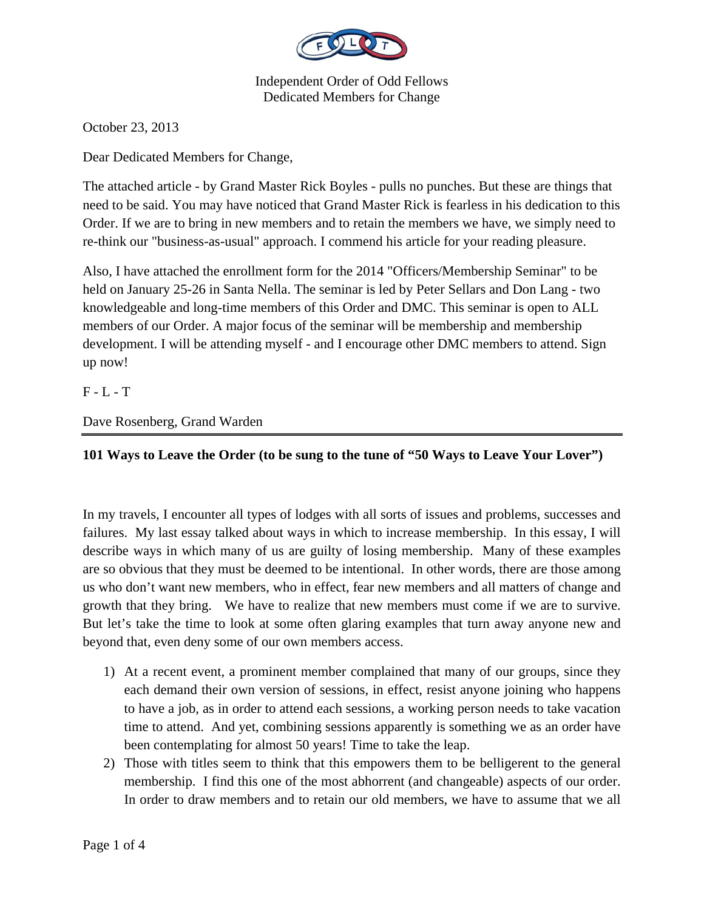

October 23, 2013

Dear Dedicated Members for Change,

The attached article - by Grand Master Rick Boyles - pulls no punches. But these are things that need to be said. You may have noticed that Grand Master Rick is fearless in his dedication to this Order. If we are to bring in new members and to retain the members we have, we simply need to re-think our "business-as-usual" approach. I commend his article for your reading pleasure.

Also, I have attached the enrollment form for the 2014 "Officers/Membership Seminar" to be held on January 25-26 in Santa Nella. The seminar is led by Peter Sellars and Don Lang - two knowledgeable and long-time members of this Order and DMC. This seminar is open to ALL members of our Order. A major focus of the seminar will be membership and membership development. I will be attending myself - and I encourage other DMC members to attend. Sign up now!

 $F - L - T$ 

Dave Rosenberg, Grand Warden

## **101 Ways to Leave the Order (to be sung to the tune of "50 Ways to Leave Your Lover")**

In my travels, I encounter all types of lodges with all sorts of issues and problems, successes and failures. My last essay talked about ways in which to increase membership. In this essay, I will describe ways in which many of us are guilty of losing membership. Many of these examples are so obvious that they must be deemed to be intentional. In other words, there are those among us who don't want new members, who in effect, fear new members and all matters of change and growth that they bring. We have to realize that new members must come if we are to survive. But let's take the time to look at some often glaring examples that turn away anyone new and beyond that, even deny some of our own members access.

- 1) At a recent event, a prominent member complained that many of our groups, since they each demand their own version of sessions, in effect, resist anyone joining who happens to have a job, as in order to attend each sessions, a working person needs to take vacation time to attend. And yet, combining sessions apparently is something we as an order have been contemplating for almost 50 years! Time to take the leap.
- 2) Those with titles seem to think that this empowers them to be belligerent to the general membership. I find this one of the most abhorrent (and changeable) aspects of our order. In order to draw members and to retain our old members, we have to assume that we all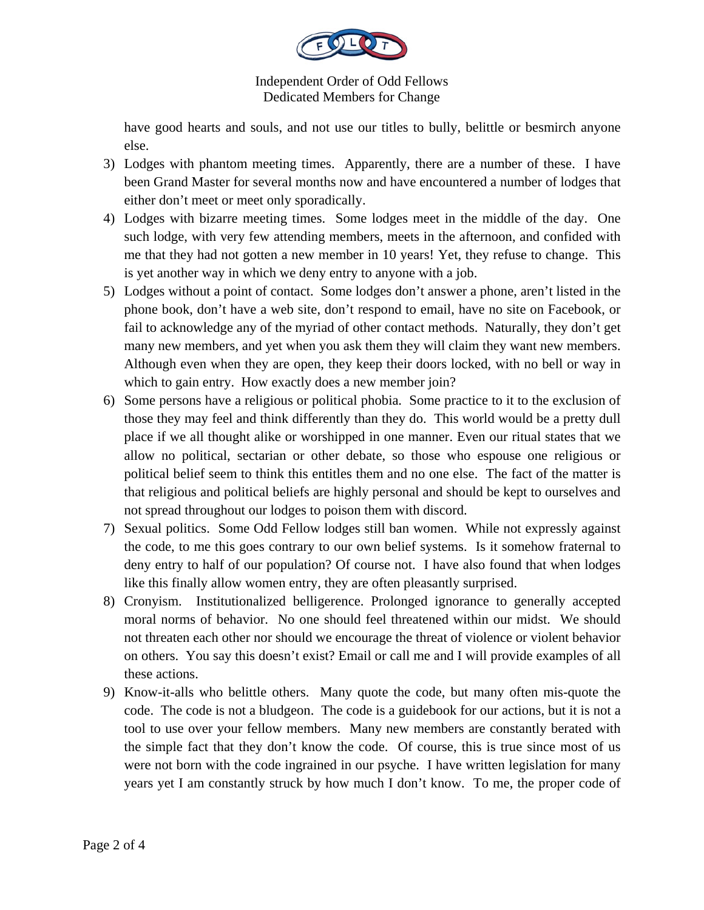

have good hearts and souls, and not use our titles to bully, belittle or besmirch anyone else.

- 3) Lodges with phantom meeting times. Apparently, there are a number of these. I have been Grand Master for several months now and have encountered a number of lodges that either don't meet or meet only sporadically.
- 4) Lodges with bizarre meeting times. Some lodges meet in the middle of the day. One such lodge, with very few attending members, meets in the afternoon, and confided with me that they had not gotten a new member in 10 years! Yet, they refuse to change. This is yet another way in which we deny entry to anyone with a job.
- 5) Lodges without a point of contact. Some lodges don't answer a phone, aren't listed in the phone book, don't have a web site, don't respond to email, have no site on Facebook, or fail to acknowledge any of the myriad of other contact methods. Naturally, they don't get many new members, and yet when you ask them they will claim they want new members. Although even when they are open, they keep their doors locked, with no bell or way in which to gain entry. How exactly does a new member join?
- 6) Some persons have a religious or political phobia. Some practice to it to the exclusion of those they may feel and think differently than they do. This world would be a pretty dull place if we all thought alike or worshipped in one manner. Even our ritual states that we allow no political, sectarian or other debate, so those who espouse one religious or political belief seem to think this entitles them and no one else. The fact of the matter is that religious and political beliefs are highly personal and should be kept to ourselves and not spread throughout our lodges to poison them with discord.
- 7) Sexual politics. Some Odd Fellow lodges still ban women. While not expressly against the code, to me this goes contrary to our own belief systems. Is it somehow fraternal to deny entry to half of our population? Of course not. I have also found that when lodges like this finally allow women entry, they are often pleasantly surprised.
- 8) Cronyism. Institutionalized belligerence. Prolonged ignorance to generally accepted moral norms of behavior. No one should feel threatened within our midst. We should not threaten each other nor should we encourage the threat of violence or violent behavior on others. You say this doesn't exist? Email or call me and I will provide examples of all these actions.
- 9) Know-it-alls who belittle others. Many quote the code, but many often mis-quote the code. The code is not a bludgeon. The code is a guidebook for our actions, but it is not a tool to use over your fellow members. Many new members are constantly berated with the simple fact that they don't know the code. Of course, this is true since most of us were not born with the code ingrained in our psyche. I have written legislation for many years yet I am constantly struck by how much I don't know. To me, the proper code of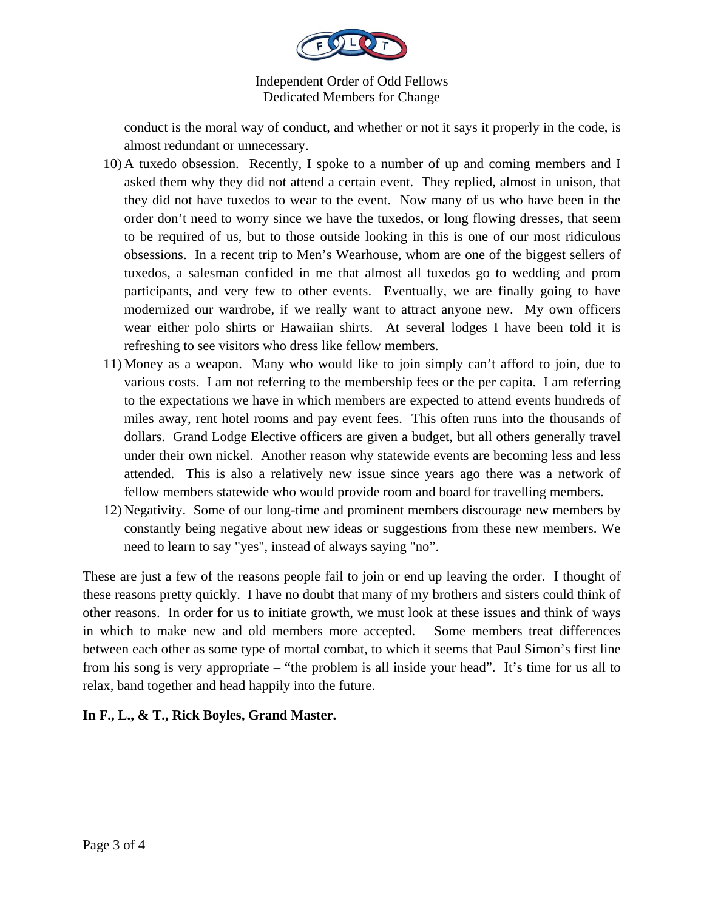

conduct is the moral way of conduct, and whether or not it says it properly in the code, is almost redundant or unnecessary.

- 10) A tuxedo obsession. Recently, I spoke to a number of up and coming members and I asked them why they did not attend a certain event. They replied, almost in unison, that they did not have tuxedos to wear to the event. Now many of us who have been in the order don't need to worry since we have the tuxedos, or long flowing dresses, that seem to be required of us, but to those outside looking in this is one of our most ridiculous obsessions. In a recent trip to Men's Wearhouse, whom are one of the biggest sellers of tuxedos, a salesman confided in me that almost all tuxedos go to wedding and prom participants, and very few to other events. Eventually, we are finally going to have modernized our wardrobe, if we really want to attract anyone new. My own officers wear either polo shirts or Hawaiian shirts. At several lodges I have been told it is refreshing to see visitors who dress like fellow members.
- 11) Money as a weapon. Many who would like to join simply can't afford to join, due to various costs. I am not referring to the membership fees or the per capita. I am referring to the expectations we have in which members are expected to attend events hundreds of miles away, rent hotel rooms and pay event fees. This often runs into the thousands of dollars. Grand Lodge Elective officers are given a budget, but all others generally travel under their own nickel. Another reason why statewide events are becoming less and less attended. This is also a relatively new issue since years ago there was a network of fellow members statewide who would provide room and board for travelling members.
- 12) Negativity. Some of our long-time and prominent members discourage new members by constantly being negative about new ideas or suggestions from these new members. We need to learn to say "yes", instead of always saying "no".

These are just a few of the reasons people fail to join or end up leaving the order. I thought of these reasons pretty quickly. I have no doubt that many of my brothers and sisters could think of other reasons. In order for us to initiate growth, we must look at these issues and think of ways in which to make new and old members more accepted. Some members treat differences between each other as some type of mortal combat, to which it seems that Paul Simon's first line from his song is very appropriate – "the problem is all inside your head". It's time for us all to relax, band together and head happily into the future.

## **In F., L., & T., Rick Boyles, Grand Master.**